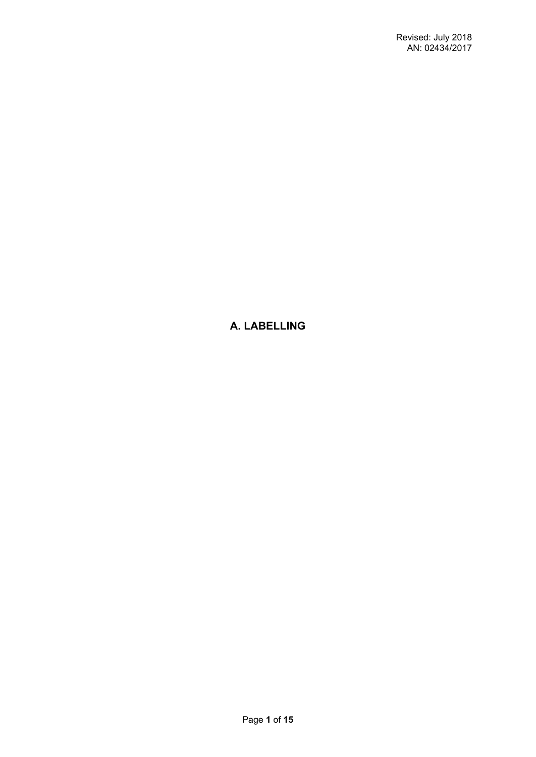# **A. LABELLING**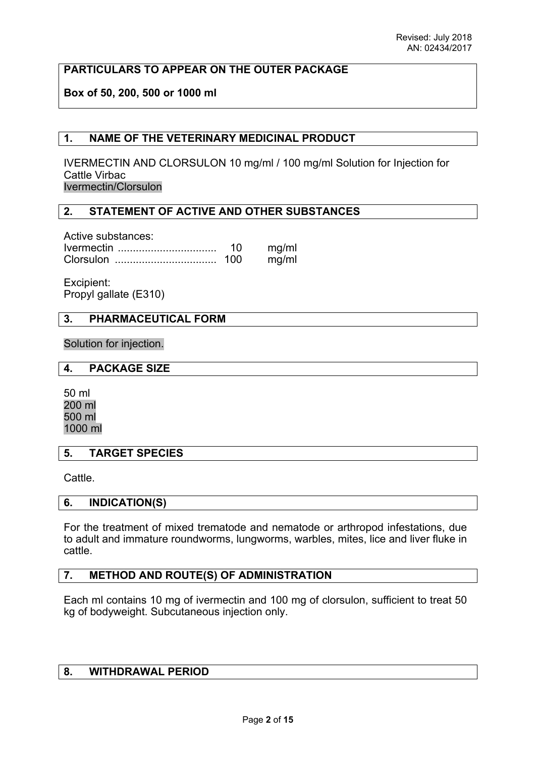# **PARTICULARS TO APPEAR ON THE OUTER PACKAGE**

# **Box of 50, 200, 500 or 1000 ml**

# **1. NAME OF THE VETERINARY MEDICINAL PRODUCT**

IVERMECTIN AND CLORSULON 10 mg/ml / 100 mg/ml Solution for Injection for Cattle Virbac Ivermectin/Clorsulon

# **2. STATEMENT OF ACTIVE AND OTHER SUBSTANCES**

Active substances: Ivermectin ................................. 10 mg/ml Clorsulon .................................. 100 mg/ml

Excipient: Propyl gallate (E310)

### **3. PHARMACEUTICAL FORM**

Solution for injection.

### **4. PACKAGE SIZE**

50 ml 200 ml 500 ml 1000 ml

### **5. TARGET SPECIES**

Cattle.

### **6. INDICATION(S)**

For the treatment of mixed trematode and nematode or arthropod infestations, due to adult and immature roundworms, lungworms, warbles, mites, lice and liver fluke in cattle.

# **7. METHOD AND ROUTE(S) OF ADMINISTRATION**

Each ml contains 10 mg of ivermectin and 100 mg of clorsulon, sufficient to treat 50 kg of bodyweight. Subcutaneous injection only.

# **8. WITHDRAWAL PERIOD**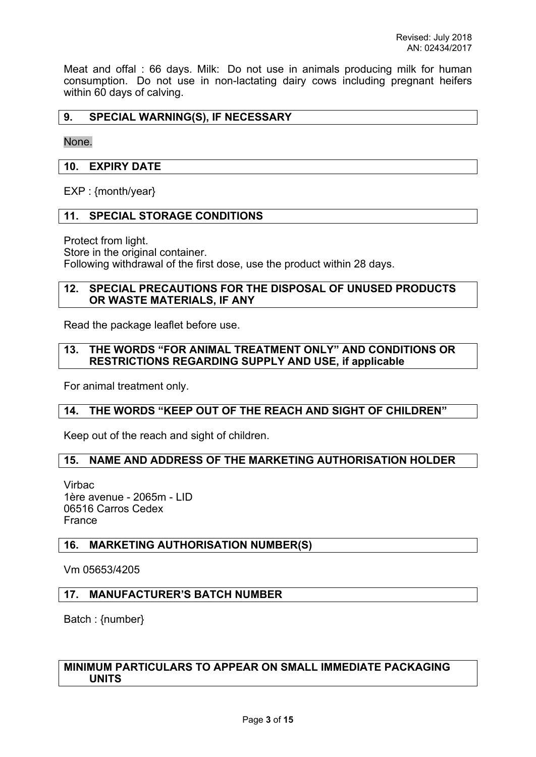Meat and offal : 66 days. Milk: Do not use in animals producing milk for human consumption. Do not use in non-lactating dairy cows including pregnant heifers within 60 days of calving.

# **9. SPECIAL WARNING(S), IF NECESSARY**

None.

## **10. EXPIRY DATE**

EXP : {month/year}

# **11. SPECIAL STORAGE CONDITIONS**

Protect from light. Store in the original container. Following withdrawal of the first dose, use the product within 28 days.

### **12. SPECIAL PRECAUTIONS FOR THE DISPOSAL OF UNUSED PRODUCTS OR WASTE MATERIALS, IF ANY**

Read the package leaflet before use.

### **13. THE WORDS "FOR ANIMAL TREATMENT ONLY" AND CONDITIONS OR RESTRICTIONS REGARDING SUPPLY AND USE, if applicable**

For animal treatment only.

# **14. THE WORDS "KEEP OUT OF THE REACH AND SIGHT OF CHILDREN"**

Keep out of the reach and sight of children.

# **15. NAME AND ADDRESS OF THE MARKETING AUTHORISATION HOLDER**

Virbac 1ère avenue - 2065m - LID 06516 Carros Cedex France

### **16. MARKETING AUTHORISATION NUMBER(S)**

Vm 05653/4205

### **17. MANUFACTURER'S BATCH NUMBER**

Batch : {number}

# **MINIMUM PARTICULARS TO APPEAR ON SMALL IMMEDIATE PACKAGING UNITS**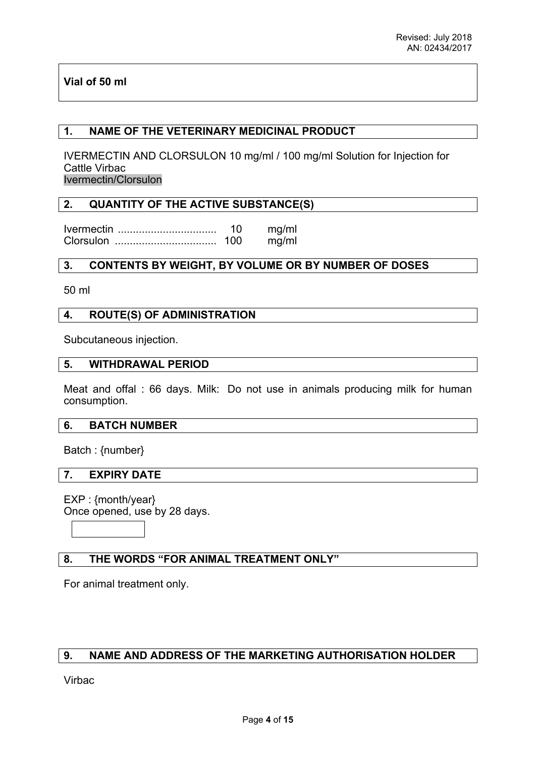# **Vial of 50 ml**

# **1. NAME OF THE VETERINARY MEDICINAL PRODUCT**

IVERMECTIN AND CLORSULON 10 mg/ml / 100 mg/ml Solution for Injection for Cattle Virbac Ivermectin/Clorsulon

# **2. QUANTITY OF THE ACTIVE SUBSTANCE(S)**

Ivermectin ................................. 10 mg/ml Clorsulon .................................. 100 mg/ml

# **3. CONTENTS BY WEIGHT, BY VOLUME OR BY NUMBER OF DOSES**

50 ml

### **4. ROUTE(S) OF ADMINISTRATION**

Subcutaneous injection.

### **5. WITHDRAWAL PERIOD**

Meat and offal : 66 days. Milk: Do not use in animals producing milk for human consumption.

### **6. BATCH NUMBER**

Batch : {number}

### **7. EXPIRY DATE**

EXP : {month/year} Once opened, use by 28 days.

### **8. THE WORDS "FOR ANIMAL TREATMENT ONLY"**

For animal treatment only.

# **9. NAME AND ADDRESS OF THE MARKETING AUTHORISATION HOLDER**

Virbac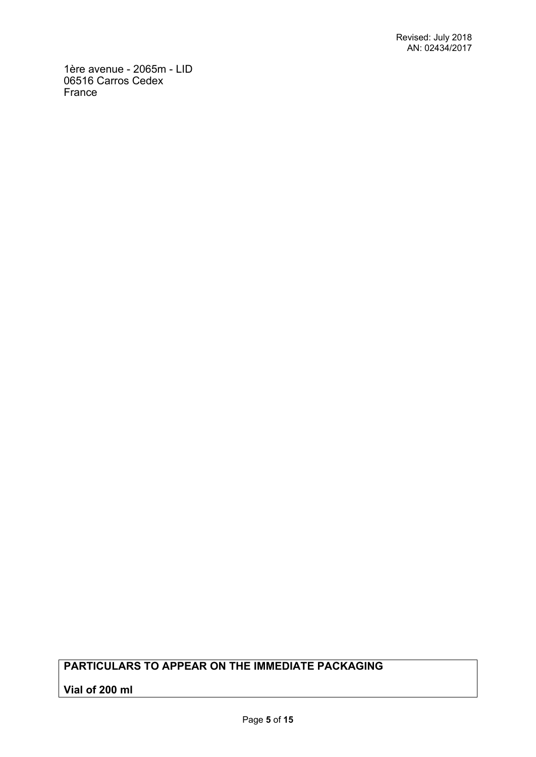1ère avenue - 2065m - LID 06516 Carros Cedex France

# **PARTICULARS TO APPEAR ON THE IMMEDIATE PACKAGING**

# **Vial of 200 ml**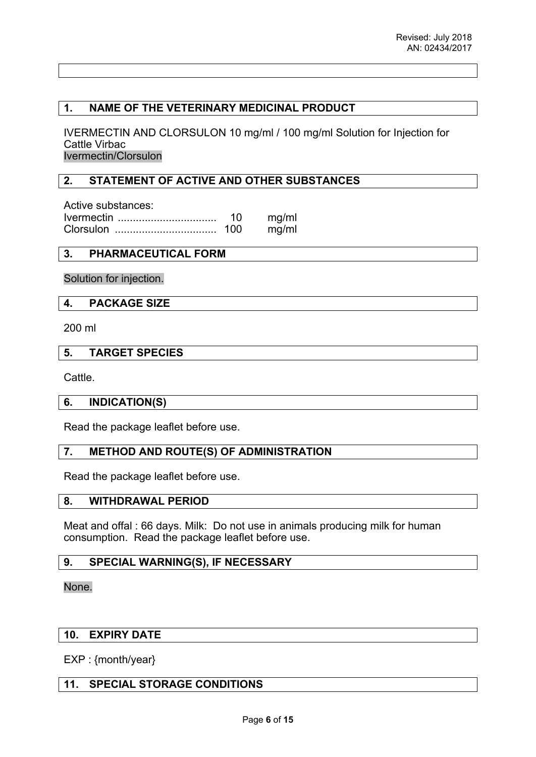# **1. NAME OF THE VETERINARY MEDICINAL PRODUCT**

IVERMECTIN AND CLORSULON 10 mg/ml / 100 mg/ml Solution for Injection for Cattle Virbac Ivermectin/Clorsulon

# **2. STATEMENT OF ACTIVE AND OTHER SUBSTANCES**

Active substances: Ivermectin ................................. 10 mg/ml Clorsulon .................................. 100 mg/ml

# **3. PHARMACEUTICAL FORM**

Solution for injection.

### **4. PACKAGE SIZE**

200 ml

### **5. TARGET SPECIES**

Cattle.

### **6. INDICATION(S)**

Read the package leaflet before use.

# **7. METHOD AND ROUTE(S) OF ADMINISTRATION**

Read the package leaflet before use.

### **8. WITHDRAWAL PERIOD**

Meat and offal : 66 days. Milk: Do not use in animals producing milk for human consumption. Read the package leaflet before use.

### **9. SPECIAL WARNING(S), IF NECESSARY**

#### None.

# **10. EXPIRY DATE**

EXP : {month/year}

# **11. SPECIAL STORAGE CONDITIONS**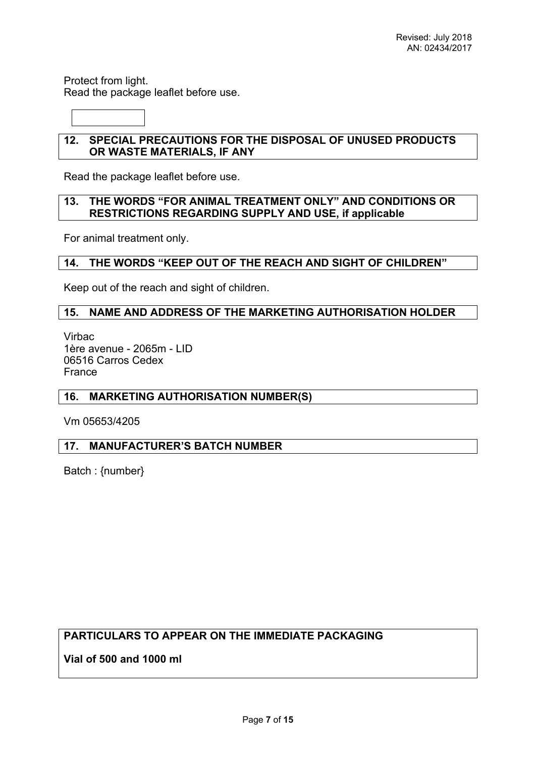Protect from light. Read the package leaflet before use.

# **12. SPECIAL PRECAUTIONS FOR THE DISPOSAL OF UNUSED PRODUCTS OR WASTE MATERIALS, IF ANY**

Read the package leaflet before use.

# **13. THE WORDS "FOR ANIMAL TREATMENT ONLY" AND CONDITIONS OR RESTRICTIONS REGARDING SUPPLY AND USE, if applicable**

For animal treatment only.

# **14. THE WORDS "KEEP OUT OF THE REACH AND SIGHT OF CHILDREN"**

Keep out of the reach and sight of children.

# **15. NAME AND ADDRESS OF THE MARKETING AUTHORISATION HOLDER**

Virbac 1ère avenue - 2065m - LID 06516 Carros Cedex France

### **16. MARKETING AUTHORISATION NUMBER(S)**

Vm 05653/4205

# **17. MANUFACTURER'S BATCH NUMBER**

Batch : {number}

# **PARTICULARS TO APPEAR ON THE IMMEDIATE PACKAGING**

**Vial of 500 and 1000 ml**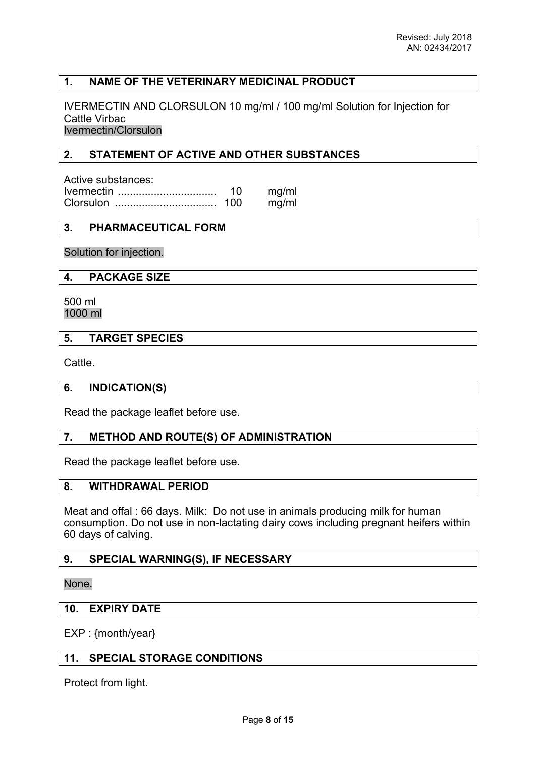# **1. NAME OF THE VETERINARY MEDICINAL PRODUCT**

IVERMECTIN AND CLORSULON 10 mg/ml / 100 mg/ml Solution for Injection for Cattle Virbac

Ivermectin/Clorsulon

# **2. STATEMENT OF ACTIVE AND OTHER SUBSTANCES**

| Active substances: |    |       |
|--------------------|----|-------|
|                    | 10 | mg/ml |
|                    |    | mg/ml |

# **3. PHARMACEUTICAL FORM**

Solution for injection.

**4. PACKAGE SIZE**

500 ml 1000 ml

# **5. TARGET SPECIES**

Cattle.

### **6. INDICATION(S)**

Read the package leaflet before use.

# **7. METHOD AND ROUTE(S) OF ADMINISTRATION**

Read the package leaflet before use.

### **8. WITHDRAWAL PERIOD**

Meat and offal : 66 days. Milk: Do not use in animals producing milk for human consumption. Do not use in non-lactating dairy cows including pregnant heifers within 60 days of calving.

### **9. SPECIAL WARNING(S), IF NECESSARY**

None.

### **10. EXPIRY DATE**

EXP : {month/year}

### **11. SPECIAL STORAGE CONDITIONS**

Protect from light.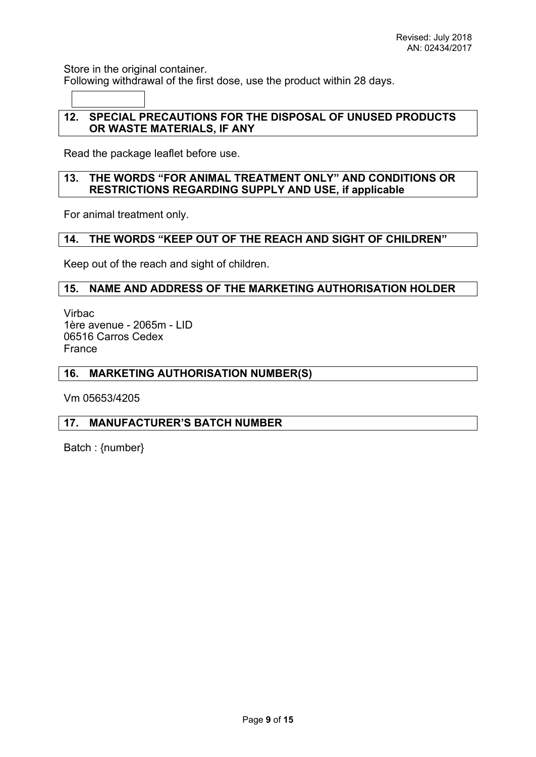Store in the original container.

Following withdrawal of the first dose, use the product within 28 days.

# **12. SPECIAL PRECAUTIONS FOR THE DISPOSAL OF UNUSED PRODUCTS OR WASTE MATERIALS, IF ANY**

Read the package leaflet before use.

# **13. THE WORDS "FOR ANIMAL TREATMENT ONLY" AND CONDITIONS OR RESTRICTIONS REGARDING SUPPLY AND USE, if applicable**

For animal treatment only.

# **14. THE WORDS "KEEP OUT OF THE REACH AND SIGHT OF CHILDREN"**

Keep out of the reach and sight of children.

# **15. NAME AND ADDRESS OF THE MARKETING AUTHORISATION HOLDER**

Virbac 1ère avenue - 2065m - LID 06516 Carros Cedex France

### **16. MARKETING AUTHORISATION NUMBER(S)**

Vm 05653/4205

# **17. MANUFACTURER'S BATCH NUMBER**

Batch : {number}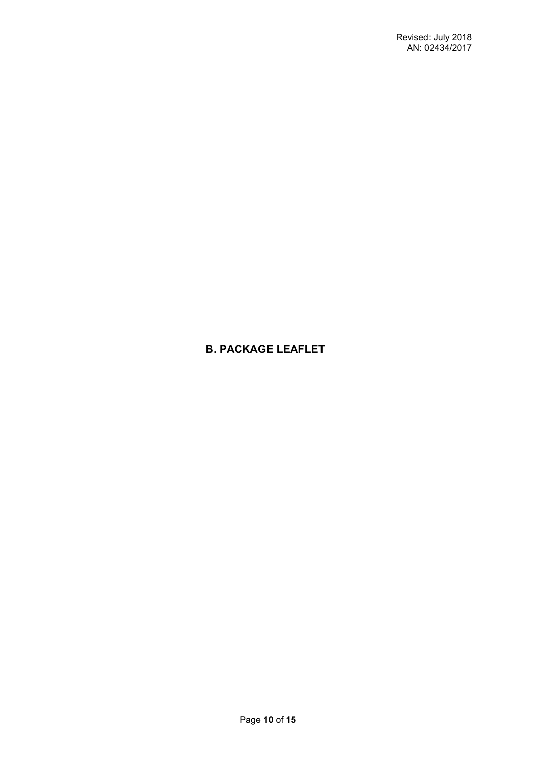# **B. PACKAGE LEAFLET**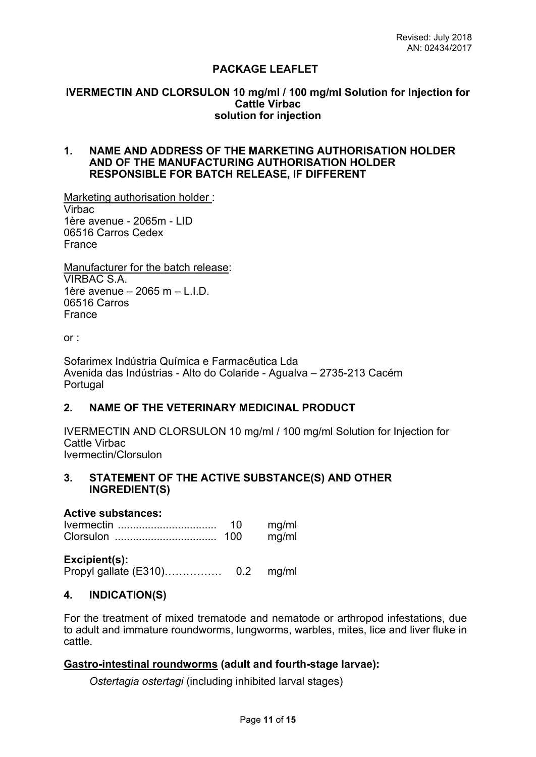# **PACKAGE LEAFLET**

#### **IVERMECTIN AND CLORSULON 10 mg/ml / 100 mg/ml Solution for Injection for Cattle Virbac solution for injection**

### **1. NAME AND ADDRESS OF THE MARKETING AUTHORISATION HOLDER AND OF THE MANUFACTURING AUTHORISATION HOLDER RESPONSIBLE FOR BATCH RELEASE, IF DIFFERENT**

Marketing authorisation holder : Virbac 1ère avenue - 2065m - LID 06516 Carros Cedex France

Manufacturer for the batch release: VIRBAC S.A. 1ère avenue  $-2065$  m  $-$  L.I.D. 06516 Carros France

or :

Sofarimex Indústria Química e Farmacêutica Lda Avenida das Indústrias - Alto do Colaride - Agualva – 2735-213 Cacém Portugal

# **2. NAME OF THE VETERINARY MEDICINAL PRODUCT**

IVERMECTIN AND CLORSULON 10 mg/ml / 100 mg/ml Solution for Injection for Cattle Virbac Ivermectin/Clorsulon

### **3. STATEMENT OF THE ACTIVE SUBSTANCE(S) AND OTHER INGREDIENT(S)**

#### **Active substances:**

Ivermectin ................................. 10 mg/ml Clorsulon .................................. 100 mg/ml

**Excipient(s):** Propyl gallate (E310)……………. 0.2 mg/ml

### **4. INDICATION(S)**

For the treatment of mixed trematode and nematode or arthropod infestations, due to adult and immature roundworms, lungworms, warbles, mites, lice and liver fluke in cattle.

### **Gastro-intestinal roundworms (adult and fourth-stage larvae):**

*Ostertagia ostertagi* (including inhibited larval stages)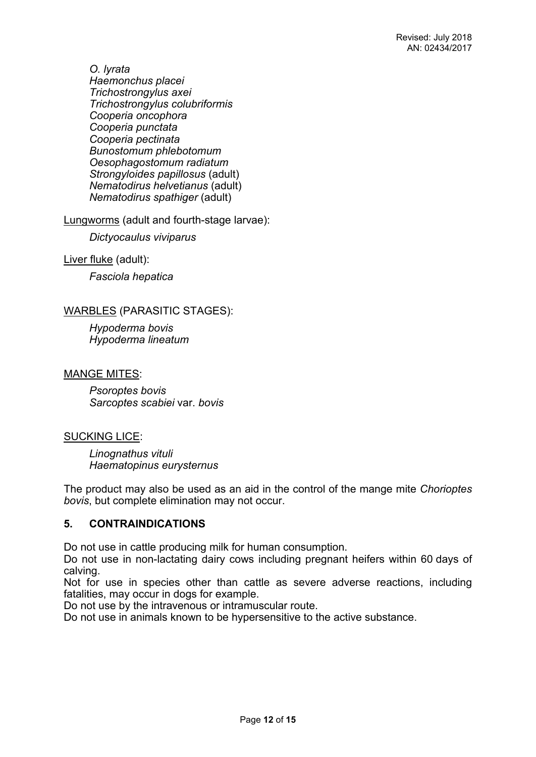*O. lyrata Haemonchus placei Trichostrongylus axei Trichostrongylus colubriformis Cooperia oncophora Cooperia punctata Cooperia pectinata Bunostomum phlebotomum Oesophagostomum radiatum Strongyloides papillosus* (adult) *Nematodirus helvetianus* (adult) *Nematodirus spathiger* (adult)

Lungworms (adult and fourth-stage larvae):

*Dictyocaulus viviparus*

Liver fluke (adult):

*Fasciola hepatica*

# WARBLES (PARASITIC STAGES):

*Hypoderma bovis Hypoderma lineatum*

MANGE MITES:

*Psoroptes bovis Sarcoptes scabiei* var. *bovis*

# SUCKING LICE:

*Linognathus vituli Haematopinus eurysternus*

The product may also be used as an aid in the control of the mange mite *Chorioptes bovis*, but complete elimination may not occur.

# **5. CONTRAINDICATIONS**

Do not use in cattle producing milk for human consumption.

Do not use in non-lactating dairy cows including pregnant heifers within 60 days of calving.

Not for use in species other than cattle as severe adverse reactions, including fatalities, may occur in dogs for example.

Do not use by the intravenous or intramuscular route.

Do not use in animals known to be hypersensitive to the active substance.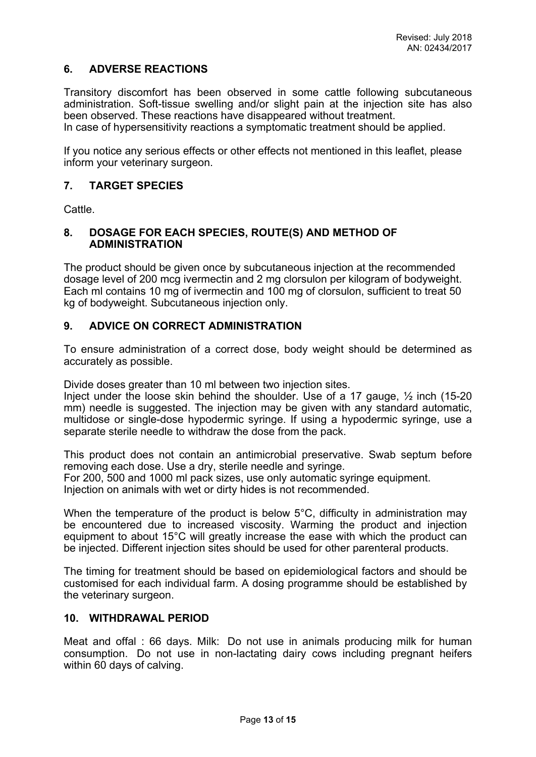# **6. ADVERSE REACTIONS**

Transitory discomfort has been observed in some cattle following subcutaneous administration. Soft-tissue swelling and/or slight pain at the injection site has also been observed. These reactions have disappeared without treatment.

In case of hypersensitivity reactions a symptomatic treatment should be applied.

If you notice any serious effects or other effects not mentioned in this leaflet, please inform your veterinary surgeon.

### **7. TARGET SPECIES**

**Cattle** 

## **8. DOSAGE FOR EACH SPECIES, ROUTE(S) AND METHOD OF ADMINISTRATION**

The product should be given once by subcutaneous injection at the recommended dosage level of 200 mcg ivermectin and 2 mg clorsulon per kilogram of bodyweight. Each ml contains 10 mg of ivermectin and 100 mg of clorsulon, sufficient to treat 50 kg of bodyweight. Subcutaneous injection only.

# **9. ADVICE ON CORRECT ADMINISTRATION**

To ensure administration of a correct dose, body weight should be determined as accurately as possible.

Divide doses greater than 10 ml between two injection sites.

Inject under the loose skin behind the shoulder. Use of a 17 gauge, ½ inch (15-20 mm) needle is suggested. The injection may be given with any standard automatic, multidose or single-dose hypodermic syringe. If using a hypodermic syringe, use a separate sterile needle to withdraw the dose from the pack.

This product does not contain an antimicrobial preservative. Swab septum before removing each dose. Use a dry, sterile needle and syringe. For 200, 500 and 1000 ml pack sizes, use only automatic syringe equipment. Injection on animals with wet or dirty hides is not recommended.

When the temperature of the product is below 5°C, difficulty in administration may be encountered due to increased viscosity. Warming the product and injection equipment to about 15°C will greatly increase the ease with which the product can be injected. Different injection sites should be used for other parenteral products.

The timing for treatment should be based on epidemiological factors and should be customised for each individual farm. A dosing programme should be established by the veterinary surgeon.

### **10. WITHDRAWAL PERIOD**

Meat and offal : 66 days. Milk: Do not use in animals producing milk for human consumption. Do not use in non-lactating dairy cows including pregnant heifers within 60 days of calving.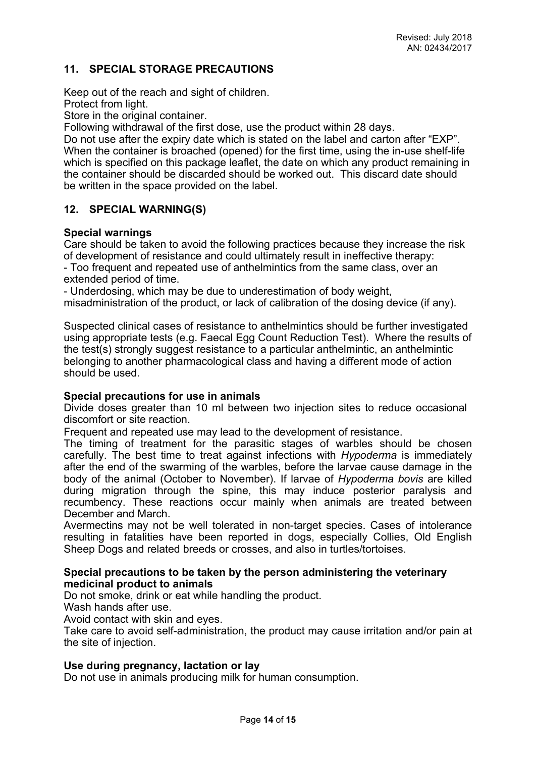# **11. SPECIAL STORAGE PRECAUTIONS**

Keep out of the reach and sight of children.

Protect from light.

Store in the original container.

Following withdrawal of the first dose, use the product within 28 days.

Do not use after the expiry date which is stated on the label and carton after "EXP". When the container is broached (opened) for the first time, using the in-use shelf-life which is specified on this package leaflet, the date on which any product remaining in the container should be discarded should be worked out. This discard date should be written in the space provided on the label.

# **12. SPECIAL WARNING(S)**

# **Special warnings**

Care should be taken to avoid the following practices because they increase the risk of development of resistance and could ultimately result in ineffective therapy: - Too frequent and repeated use of anthelmintics from the same class, over an extended period of time.

- Underdosing, which may be due to underestimation of body weight,

misadministration of the product, or lack of calibration of the dosing device (if any).

Suspected clinical cases of resistance to anthelmintics should be further investigated using appropriate tests (e.g. Faecal Egg Count Reduction Test). Where the results of the test(s) strongly suggest resistance to a particular anthelmintic, an anthelmintic belonging to another pharmacological class and having a different mode of action should be used.

### **Special precautions for use in animals**

Divide doses greater than 10 ml between two injection sites to reduce occasional discomfort or site reaction.

Frequent and repeated use may lead to the development of resistance.

The timing of treatment for the parasitic stages of warbles should be chosen carefully. The best time to treat against infections with *Hypoderma* is immediately after the end of the swarming of the warbles, before the larvae cause damage in the body of the animal (October to November). If larvae of *Hypoderma bovis* are killed during migration through the spine, this may induce posterior paralysis and recumbency. These reactions occur mainly when animals are treated between December and March.

Avermectins may not be well tolerated in non-target species. Cases of intolerance resulting in fatalities have been reported in dogs, especially Collies, Old English Sheep Dogs and related breeds or crosses, and also in turtles/tortoises.

### **Special precautions to be taken by the person administering the veterinary medicinal product to animals**

Do not smoke, drink or eat while handling the product.

Wash hands after use.

Avoid contact with skin and eyes.

Take care to avoid self-administration, the product may cause irritation and/or pain at the site of injection.

### **Use during pregnancy, lactation or lay**

Do not use in animals producing milk for human consumption.